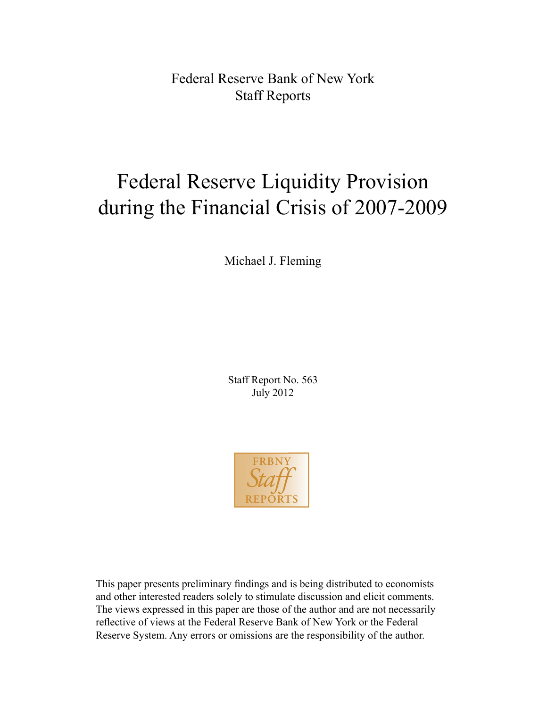Federal Reserve Bank of New York Staff Reports

# Federal Reserve Liquidity Provision during the Financial Crisis of 2007-2009

Michael J. Fleming

Staff Report No. 563 July 2012



This paper presents preliminary findings and is being distributed to economists and other interested readers solely to stimulate discussion and elicit comments. The views expressed in this paper are those of the author and are not necessarily reflective of views at the Federal Reserve Bank of New York or the Federal Reserve System. Any errors or omissions are the responsibility of the author.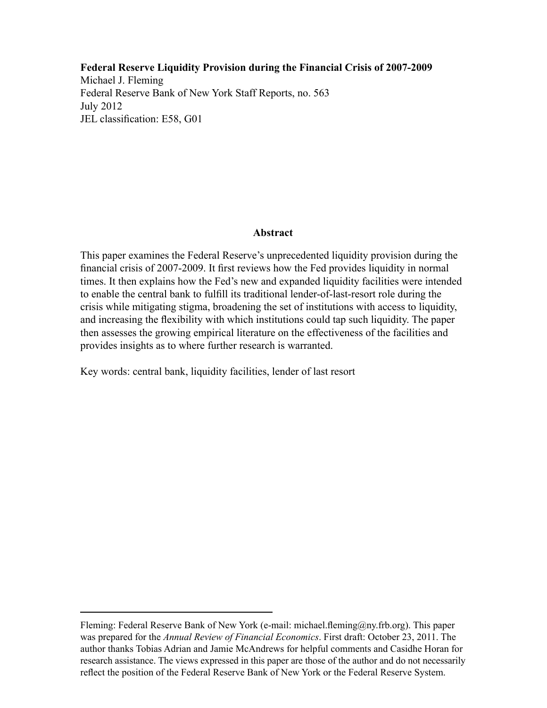**Federal Reserve Liquidity Provision during the Financial Crisis of 2007-2009** Michael J. Fleming Federal Reserve Bank of New York Staff Reports, no. 563 July 2012 JEL classification: E58, G01

# **Abstract**

This paper examines the Federal Reserve's unprecedented liquidity provision during the financial crisis of 2007-2009. It first reviews how the Fed provides liquidity in normal times. It then explains how the Fed's new and expanded liquidity facilities were intended to enable the central bank to fulfill its traditional lender-of-last-resort role during the crisis while mitigating stigma, broadening the set of institutions with access to liquidity, and increasing the flexibility with which institutions could tap such liquidity. The paper then assesses the growing empirical literature on the effectiveness of the facilities and provides insights as to where further research is warranted.

Key words: central bank, liquidity facilities, lender of last resort

Fleming: Federal Reserve Bank of New York (e-mail: michael.fleming@ny.frb.org). This paper was prepared for the *Annual Review of Financial Economics*. First draft: October 23, 2011. The author thanks Tobias Adrian and Jamie McAndrews for helpful comments and Casidhe Horan for research assistance. The views expressed in this paper are those of the author and do not necessarily reflect the position of the Federal Reserve Bank of New York or the Federal Reserve System.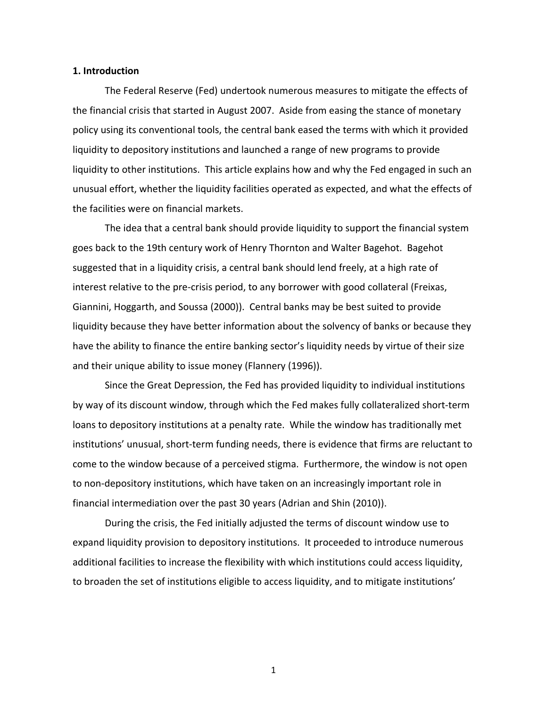#### **1. Introduction**

The Federal Reserve (Fed) undertook numerous measures to mitigate the effects of the financial crisis that started in August 2007. Aside from easing the stance of monetary policy using its conventional tools, the central bank eased the terms with which it provided liquidity to depository institutions and launched a range of new programs to provide liquidity to other institutions. This article explains how and why the Fed engaged in such an unusual effort, whether the liquidity facilities operated as expected, and what the effects of the facilities were on financial markets.

The idea that a central bank should provide liquidity to support the financial system goes back to the 19th century work of Henry Thornton and Walter Bagehot. Bagehot suggested that in a liquidity crisis, a central bank should lend freely, at a high rate of interest relative to the pre‐crisis period, to any borrower with good collateral (Freixas, Giannini, Hoggarth, and Soussa (2000)). Central banks may be best suited to provide liquidity because they have better information about the solvency of banks or because they have the ability to finance the entire banking sector's liquidity needs by virtue of their size and their unique ability to issue money (Flannery (1996)).

Since the Great Depression, the Fed has provided liquidity to individual institutions by way of its discount window, through which the Fed makes fully collateralized short‐term loans to depository institutions at a penalty rate. While the window has traditionally met institutions' unusual, short‐term funding needs, there is evidence that firms are reluctant to come to the window because of a perceived stigma. Furthermore, the window is not open to non‐depository institutions, which have taken on an increasingly important role in financial intermediation over the past 30 years (Adrian and Shin (2010)).

During the crisis, the Fed initially adjusted the terms of discount window use to expand liquidity provision to depository institutions. It proceeded to introduce numerous additional facilities to increase the flexibility with which institutions could access liquidity, to broaden the set of institutions eligible to access liquidity, and to mitigate institutions'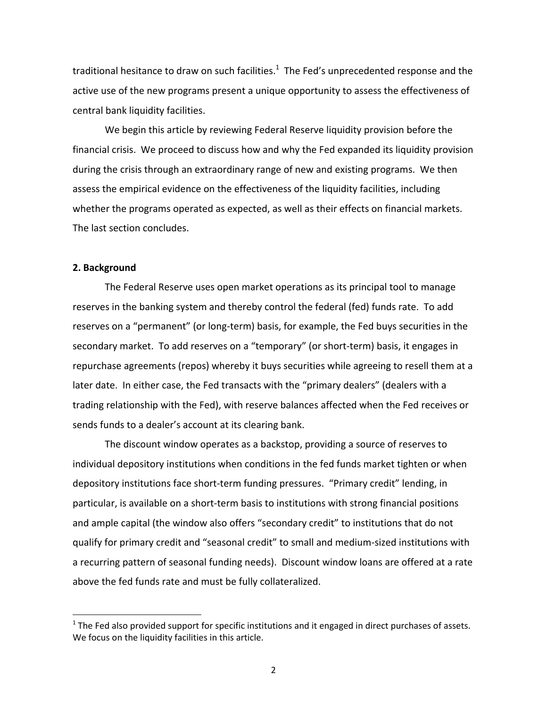traditional hesitance to draw on such facilities.<sup>1</sup> The Fed's unprecedented response and the active use of the new programs present a unique opportunity to assess the effectiveness of central bank liquidity facilities.

We begin this article by reviewing Federal Reserve liquidity provision before the financial crisis. We proceed to discuss how and why the Fed expanded its liquidity provision during the crisis through an extraordinary range of new and existing programs. We then assess the empirical evidence on the effectiveness of the liquidity facilities, including whether the programs operated as expected, as well as their effects on financial markets. The last section concludes.

## **2. Background**

The Federal Reserve uses open market operations as its principal tool to manage reserves in the banking system and thereby control the federal (fed) funds rate. To add reserves on a "permanent" (or long‐term) basis, for example, the Fed buys securities in the secondary market. To add reserves on a "temporary" (or short-term) basis, it engages in repurchase agreements (repos) whereby it buys securities while agreeing to resell them at a later date. In either case, the Fed transacts with the "primary dealers" (dealers with a trading relationship with the Fed), with reserve balances affected when the Fed receives or sends funds to a dealer's account at its clearing bank.

The discount window operates as a backstop, providing a source of reserves to individual depository institutions when conditions in the fed funds market tighten or when depository institutions face short‐term funding pressures. "Primary credit" lending, in particular, is available on a short‐term basis to institutions with strong financial positions and ample capital (the window also offers "secondary credit" to institutions that do not qualify for primary credit and "seasonal credit" to small and medium‐sized institutions with a recurring pattern of seasonal funding needs). Discount window loans are offered at a rate above the fed funds rate and must be fully collateralized.

 $1$  The Fed also provided support for specific institutions and it engaged in direct purchases of assets. We focus on the liquidity facilities in this article.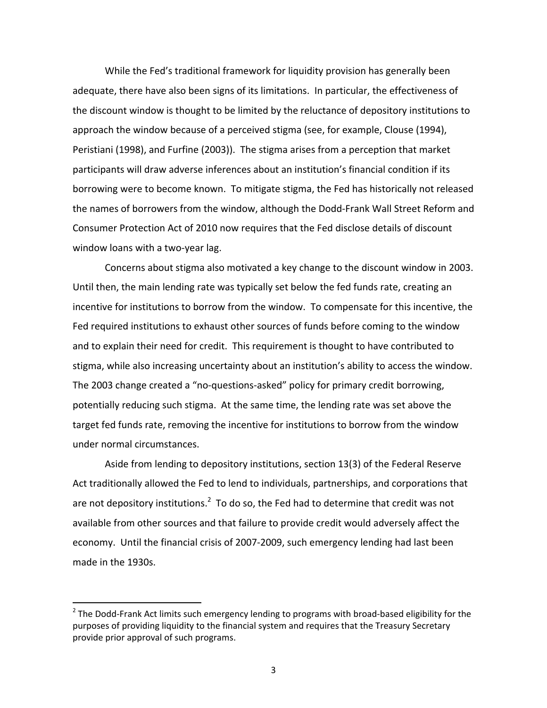While the Fed's traditional framework for liquidity provision has generally been adequate, there have also been signs of its limitations. In particular, the effectiveness of the discount window is thought to be limited by the reluctance of depository institutions to approach the window because of a perceived stigma (see, for example, Clouse (1994), Peristiani (1998), and Furfine (2003)). The stigma arises from a perception that market participants will draw adverse inferences about an institution's financial condition if its borrowing were to become known. To mitigate stigma, the Fed has historically not released the names of borrowers from the window, although the Dodd‐Frank Wall Street Reform and Consumer Protection Act of 2010 now requires that the Fed disclose details of discount window loans with a two-year lag.

Concerns about stigma also motivated a key change to the discount window in 2003. Until then, the main lending rate was typically set below the fed funds rate, creating an incentive for institutions to borrow from the window. To compensate for this incentive, the Fed required institutions to exhaust other sources of funds before coming to the window and to explain their need for credit. This requirement is thought to have contributed to stigma, while also increasing uncertainty about an institution's ability to access the window. The 2003 change created a "no‐questions‐asked" policy for primary credit borrowing, potentially reducing such stigma. At the same time, the lending rate was set above the target fed funds rate, removing the incentive for institutions to borrow from the window under normal circumstances.

Aside from lending to depository institutions, section 13(3) of the Federal Reserve Act traditionally allowed the Fed to lend to individuals, partnerships, and corporations that are not depository institutions.<sup>2</sup> To do so, the Fed had to determine that credit was not available from other sources and that failure to provide credit would adversely affect the economy. Until the financial crisis of 2007‐2009, such emergency lending had last been made in the 1930s.

<sup>&</sup>lt;sup>2</sup> The Dodd-Frank Act limits such emergency lending to programs with broad-based eligibility for the purposes of providing liquidity to the financial system and requires that the Treasury Secretary provide prior approval of such programs.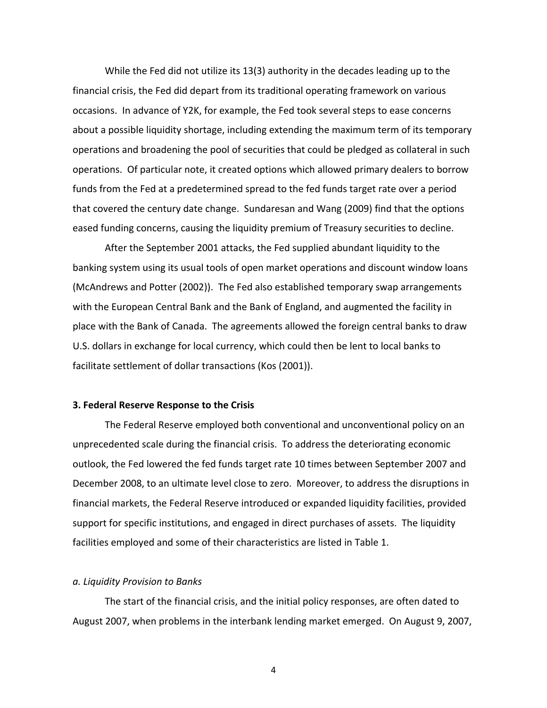While the Fed did not utilize its 13(3) authority in the decades leading up to the financial crisis, the Fed did depart from its traditional operating framework on various occasions. In advance of Y2K, for example, the Fed took several steps to ease concerns about a possible liquidity shortage, including extending the maximum term of its temporary operations and broadening the pool of securities that could be pledged as collateral in such operations. Of particular note, it created options which allowed primary dealers to borrow funds from the Fed at a predetermined spread to the fed funds target rate over a period that covered the century date change. Sundaresan and Wang (2009) find that the options eased funding concerns, causing the liquidity premium of Treasury securities to decline.

After the September 2001 attacks, the Fed supplied abundant liquidity to the banking system using its usual tools of open market operations and discount window loans (McAndrews and Potter (2002)). The Fed also established temporary swap arrangements with the European Central Bank and the Bank of England, and augmented the facility in place with the Bank of Canada. The agreements allowed the foreign central banks to draw U.S. dollars in exchange for local currency, which could then be lent to local banks to facilitate settlement of dollar transactions (Kos (2001)).

## **3. Federal Reserve Response to the Crisis**

The Federal Reserve employed both conventional and unconventional policy on an unprecedented scale during the financial crisis. To address the deteriorating economic outlook, the Fed lowered the fed funds target rate 10 times between September 2007 and December 2008, to an ultimate level close to zero. Moreover, to address the disruptions in financial markets, the Federal Reserve introduced or expanded liquidity facilities, provided support for specific institutions, and engaged in direct purchases of assets. The liquidity facilities employed and some of their characteristics are listed in Table 1.

#### *a. Liquidity Provision to Banks*

The start of the financial crisis, and the initial policy responses, are often dated to August 2007, when problems in the interbank lending market emerged. On August 9, 2007,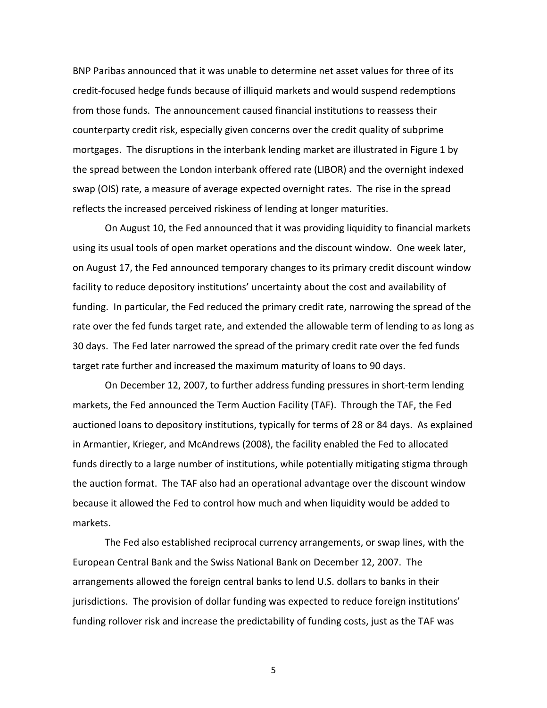BNP Paribas announced that it was unable to determine net asset values for three of its credit‐focused hedge funds because of illiquid markets and would suspend redemptions from those funds. The announcement caused financial institutions to reassess their counterparty credit risk, especially given concerns over the credit quality of subprime mortgages. The disruptions in the interbank lending market are illustrated in Figure 1 by the spread between the London interbank offered rate (LIBOR) and the overnight indexed swap (OIS) rate, a measure of average expected overnight rates. The rise in the spread reflects the increased perceived riskiness of lending at longer maturities.

On August 10, the Fed announced that it was providing liquidity to financial markets using its usual tools of open market operations and the discount window. One week later, on August 17, the Fed announced temporary changes to its primary credit discount window facility to reduce depository institutions' uncertainty about the cost and availability of funding. In particular, the Fed reduced the primary credit rate, narrowing the spread of the rate over the fed funds target rate, and extended the allowable term of lending to as long as 30 days. The Fed later narrowed the spread of the primary credit rate over the fed funds target rate further and increased the maximum maturity of loans to 90 days.

On December 12, 2007, to further address funding pressures in short‐term lending markets, the Fed announced the Term Auction Facility (TAF). Through the TAF, the Fed auctioned loans to depository institutions, typically for terms of 28 or 84 days. As explained in Armantier, Krieger, and McAndrews (2008), the facility enabled the Fed to allocated funds directly to a large number of institutions, while potentially mitigating stigma through the auction format. The TAF also had an operational advantage over the discount window because it allowed the Fed to control how much and when liquidity would be added to markets.

The Fed also established reciprocal currency arrangements, or swap lines, with the European Central Bank and the Swiss National Bank on December 12, 2007. The arrangements allowed the foreign central banks to lend U.S. dollars to banks in their jurisdictions. The provision of dollar funding was expected to reduce foreign institutions' funding rollover risk and increase the predictability of funding costs, just as the TAF was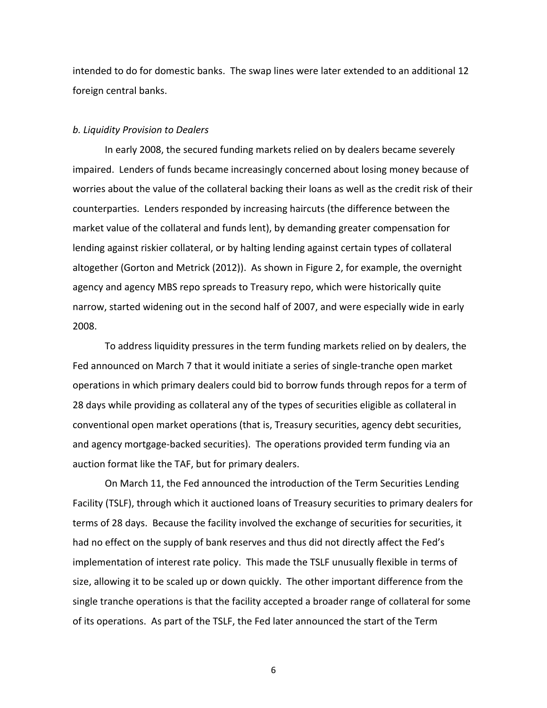intended to do for domestic banks. The swap lines were later extended to an additional 12 foreign central banks.

#### *b. Liquidity Provision to Dealers*

In early 2008, the secured funding markets relied on by dealers became severely impaired. Lenders of funds became increasingly concerned about losing money because of worries about the value of the collateral backing their loans as well as the credit risk of their counterparties. Lenders responded by increasing haircuts (the difference between the market value of the collateral and funds lent), by demanding greater compensation for lending against riskier collateral, or by halting lending against certain types of collateral altogether (Gorton and Metrick (2012)). As shown in Figure 2, for example, the overnight agency and agency MBS repo spreads to Treasury repo, which were historically quite narrow, started widening out in the second half of 2007, and were especially wide in early 2008.

To address liquidity pressures in the term funding markets relied on by dealers, the Fed announced on March 7 that it would initiate a series of single‐tranche open market operations in which primary dealers could bid to borrow funds through repos for a term of 28 days while providing as collateral any of the types of securities eligible as collateral in conventional open market operations (that is, Treasury securities, agency debt securities, and agency mortgage‐backed securities). The operations provided term funding via an auction format like the TAF, but for primary dealers.

On March 11, the Fed announced the introduction of the Term Securities Lending Facility (TSLF), through which it auctioned loans of Treasury securities to primary dealers for terms of 28 days. Because the facility involved the exchange of securities for securities, it had no effect on the supply of bank reserves and thus did not directly affect the Fed's implementation of interest rate policy. This made the TSLF unusually flexible in terms of size, allowing it to be scaled up or down quickly. The other important difference from the single tranche operations is that the facility accepted a broader range of collateral for some of its operations. As part of the TSLF, the Fed later announced the start of the Term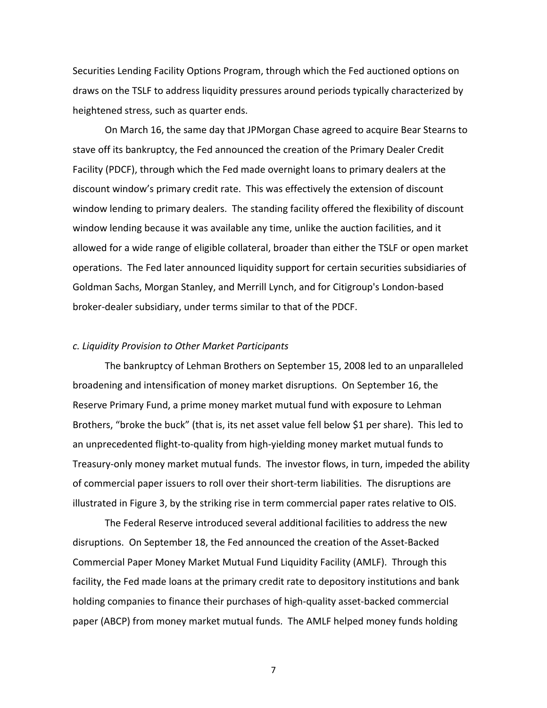Securities Lending Facility Options Program, through which the Fed auctioned options on draws on the TSLF to address liquidity pressures around periods typically characterized by heightened stress, such as quarter ends.

On March 16, the same day that JPMorgan Chase agreed to acquire Bear Stearns to stave off its bankruptcy, the Fed announced the creation of the Primary Dealer Credit Facility (PDCF), through which the Fed made overnight loans to primary dealers at the discount window's primary credit rate. This was effectively the extension of discount window lending to primary dealers. The standing facility offered the flexibility of discount window lending because it was available any time, unlike the auction facilities, and it allowed for a wide range of eligible collateral, broader than either the TSLF or open market operations. The Fed later announced liquidity support for certain securities subsidiaries of Goldman Sachs, Morgan Stanley, and Merrill Lynch, and for Citigroup's London‐based broker‐dealer subsidiary, under terms similar to that of the PDCF.

#### *c. Liquidity Provision to Other Market Participants*

The bankruptcy of Lehman Brothers on September 15, 2008 led to an unparalleled broadening and intensification of money market disruptions. On September 16, the Reserve Primary Fund, a prime money market mutual fund with exposure to Lehman Brothers, "broke the buck" (that is, its net asset value fell below \$1 per share). This led to an unprecedented flight‐to‐quality from high‐yielding money market mutual funds to Treasury‐only money market mutual funds. The investor flows, in turn, impeded the ability of commercial paper issuers to roll over their short‐term liabilities. The disruptions are illustrated in Figure 3, by the striking rise in term commercial paper rates relative to OIS.

The Federal Reserve introduced several additional facilities to address the new disruptions. On September 18, the Fed announced the creation of the Asset‐Backed Commercial Paper Money Market Mutual Fund Liquidity Facility (AMLF). Through this facility, the Fed made loans at the primary credit rate to depository institutions and bank holding companies to finance their purchases of high-quality asset-backed commercial paper (ABCP) from money market mutual funds. The AMLF helped money funds holding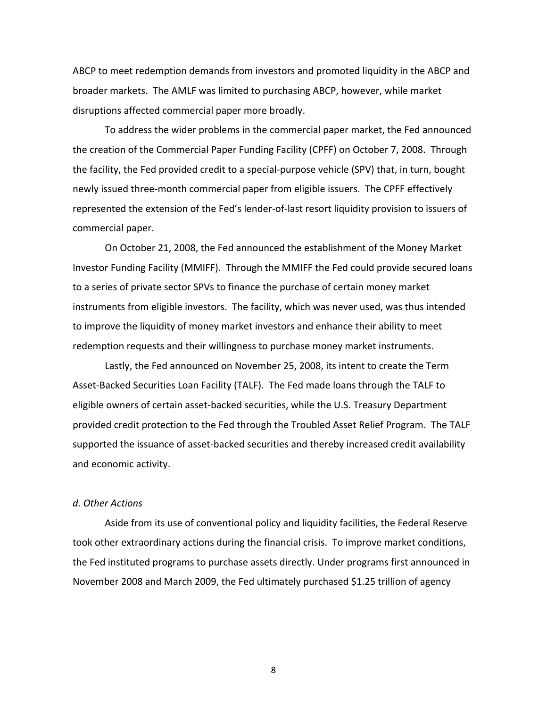ABCP to meet redemption demands from investors and promoted liquidity in the ABCP and broader markets. The AMLF was limited to purchasing ABCP, however, while market disruptions affected commercial paper more broadly.

To address the wider problems in the commercial paper market, the Fed announced the creation of the Commercial Paper Funding Facility (CPFF) on October 7, 2008. Through the facility, the Fed provided credit to a special‐purpose vehicle (SPV) that, in turn, bought newly issued three‐month commercial paper from eligible issuers. The CPFF effectively represented the extension of the Fed's lender‐of‐last resort liquidity provision to issuers of commercial paper.

On October 21, 2008, the Fed announced the establishment of the Money Market Investor Funding Facility (MMIFF). Through the MMIFF the Fed could provide secured loans to a series of private sector SPVs to finance the purchase of certain money market instruments from eligible investors. The facility, which was never used, was thus intended to improve the liquidity of money market investors and enhance their ability to meet redemption requests and their willingness to purchase money market instruments.

Lastly, the Fed announced on November 25, 2008, its intent to create the Term Asset‐Backed Securities Loan Facility (TALF). The Fed made loans through the TALF to eligible owners of certain asset‐backed securities, while the U.S. Treasury Department provided credit protection to the Fed through the Troubled Asset Relief Program. The TALF supported the issuance of asset-backed securities and thereby increased credit availability and economic activity.

### *d. Other Actions*

Aside from its use of conventional policy and liquidity facilities, the Federal Reserve took other extraordinary actions during the financial crisis. To improve market conditions, the Fed instituted programs to purchase assets directly. Under programs first announced in November 2008 and March 2009, the Fed ultimately purchased \$1.25 trillion of agency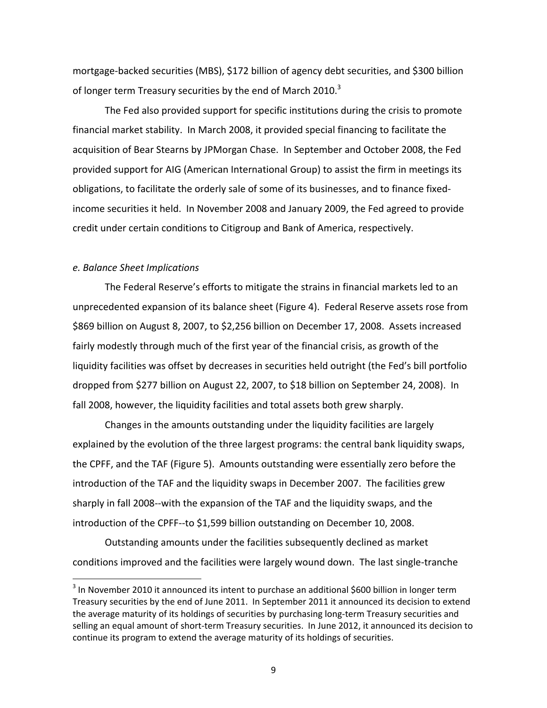mortgage‐backed securities (MBS), \$172 billion of agency debt securities, and \$300 billion of longer term Treasury securities by the end of March 2010. $3$ 

The Fed also provided support for specific institutions during the crisis to promote financial market stability. In March 2008, it provided special financing to facilitate the acquisition of Bear Stearns by JPMorgan Chase. In September and October 2008, the Fed provided support for AIG (American International Group) to assist the firm in meetings its obligations, to facilitate the orderly sale of some of its businesses, and to finance fixed‐ income securities it held. In November 2008 and January 2009, the Fed agreed to provide credit under certain conditions to Citigroup and Bank of America, respectively.

## *e. Balance Sheet Implications*

The Federal Reserve's efforts to mitigate the strains in financial markets led to an unprecedented expansion of its balance sheet (Figure 4). Federal Reserve assets rose from \$869 billion on August 8, 2007, to \$2,256 billion on December 17, 2008. Assets increased fairly modestly through much of the first year of the financial crisis, as growth of the liquidity facilities was offset by decreases in securities held outright (the Fed's bill portfolio dropped from \$277 billion on August 22, 2007, to \$18 billion on September 24, 2008). In fall 2008, however, the liquidity facilities and total assets both grew sharply.

Changes in the amounts outstanding under the liquidity facilities are largely explained by the evolution of the three largest programs: the central bank liquidity swaps, the CPFF, and the TAF (Figure 5). Amounts outstanding were essentially zero before the introduction of the TAF and the liquidity swaps in December 2007. The facilities grew sharply in fall 2008‐‐with the expansion of the TAF and the liquidity swaps, and the introduction of the CPFF‐‐to \$1,599 billion outstanding on December 10, 2008.

Outstanding amounts under the facilities subsequently declined as market conditions improved and the facilities were largely wound down. The last single‐tranche

 $3$  In November 2010 it announced its intent to purchase an additional \$600 billion in longer term Treasury securities by the end of June 2011. In September 2011 it announced its decision to extend the average maturity of its holdings of securities by purchasing long‐term Treasury securities and selling an equal amount of short-term Treasury securities. In June 2012, it announced its decision to continue its program to extend the average maturity of its holdings of securities.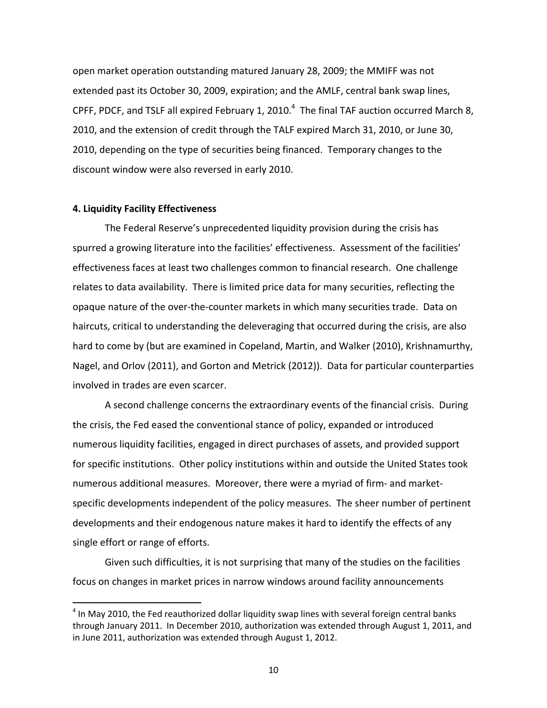open market operation outstanding matured January 28, 2009; the MMIFF was not extended past its October 30, 2009, expiration; and the AMLF, central bank swap lines, CPFF, PDCF, and TSLF all expired February 1, 2010. $^4$  The final TAF auction occurred March 8, 2010, and the extension of credit through the TALF expired March 31, 2010, or June 30, 2010, depending on the type of securities being financed. Temporary changes to the discount window were also reversed in early 2010.

#### **4. Liquidity Facility Effectiveness**

The Federal Reserve's unprecedented liquidity provision during the crisis has spurred a growing literature into the facilities' effectiveness. Assessment of the facilities' effectiveness faces at least two challenges common to financial research. One challenge relates to data availability. There is limited price data for many securities, reflecting the opaque nature of the over‐the‐counter markets in which many securities trade. Data on haircuts, critical to understanding the deleveraging that occurred during the crisis, are also hard to come by (but are examined in Copeland, Martin, and Walker (2010), Krishnamurthy, Nagel, and Orlov (2011), and Gorton and Metrick (2012)). Data for particular counterparties involved in trades are even scarcer.

A second challenge concerns the extraordinary events of the financial crisis. During the crisis, the Fed eased the conventional stance of policy, expanded or introduced numerous liquidity facilities, engaged in direct purchases of assets, and provided support for specific institutions. Other policy institutions within and outside the United States took numerous additional measures. Moreover, there were a myriad of firm‐ and market‐ specific developments independent of the policy measures. The sheer number of pertinent developments and their endogenous nature makes it hard to identify the effects of any single effort or range of efforts.

Given such difficulties, it is not surprising that many of the studies on the facilities focus on changes in market prices in narrow windows around facility announcements

 $4$  In Mav 2010, the Fed reauthorized dollar liquidity swap lines with several foreign central banks through January 2011. In December 2010, authorization was extended through August 1, 2011, and in June 2011, authorization was extended through August 1, 2012.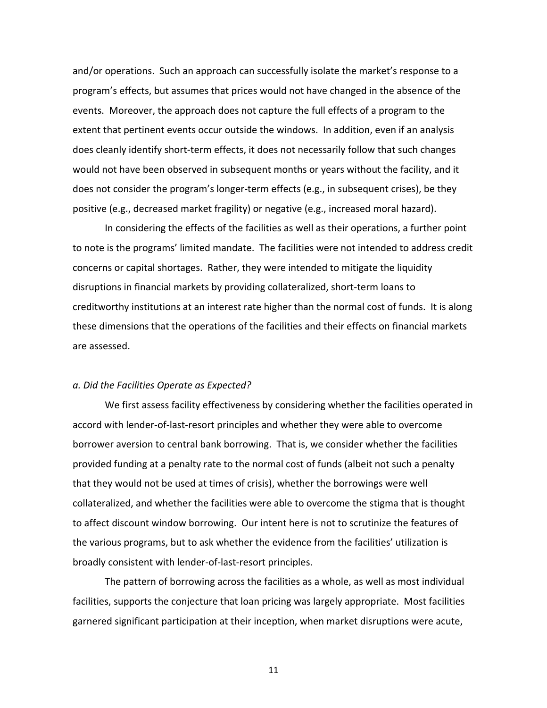and/or operations. Such an approach can successfully isolate the market's response to a program's effects, but assumes that prices would not have changed in the absence of the events. Moreover, the approach does not capture the full effects of a program to the extent that pertinent events occur outside the windows. In addition, even if an analysis does cleanly identify short‐term effects, it does not necessarily follow that such changes would not have been observed in subsequent months or years without the facility, and it does not consider the program's longer-term effects (e.g., in subsequent crises), be they positive (e.g., decreased market fragility) or negative (e.g., increased moral hazard).

In considering the effects of the facilities as well as their operations, a further point to note is the programs' limited mandate. The facilities were not intended to address credit concerns or capital shortages. Rather, they were intended to mitigate the liquidity disruptions in financial markets by providing collateralized, short‐term loans to creditworthy institutions at an interest rate higher than the normal cost of funds. It is along these dimensions that the operations of the facilities and their effects on financial markets are assessed.

## *a. Did the Facilities Operate as Expected?*

We first assess facility effectiveness by considering whether the facilities operated in accord with lender‐of‐last‐resort principles and whether they were able to overcome borrower aversion to central bank borrowing. That is, we consider whether the facilities provided funding at a penalty rate to the normal cost of funds (albeit not such a penalty that they would not be used at times of crisis), whether the borrowings were well collateralized, and whether the facilities were able to overcome the stigma that is thought to affect discount window borrowing. Our intent here is not to scrutinize the features of the various programs, but to ask whether the evidence from the facilities' utilization is broadly consistent with lender‐of‐last‐resort principles.

The pattern of borrowing across the facilities as a whole, as well as most individual facilities, supports the conjecture that loan pricing was largely appropriate. Most facilities garnered significant participation at their inception, when market disruptions were acute,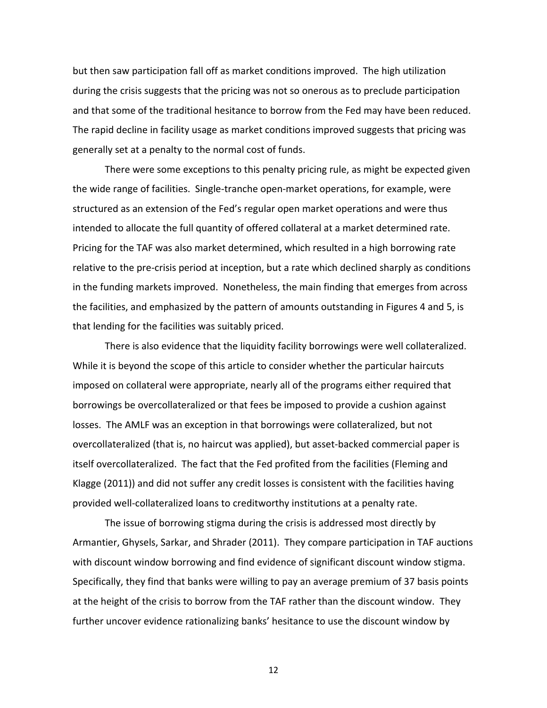but then saw participation fall off as market conditions improved. The high utilization during the crisis suggests that the pricing was not so onerous as to preclude participation and that some of the traditional hesitance to borrow from the Fed may have been reduced. The rapid decline in facility usage as market conditions improved suggests that pricing was generally set at a penalty to the normal cost of funds.

There were some exceptions to this penalty pricing rule, as might be expected given the wide range of facilities. Single‐tranche open‐market operations, for example, were structured as an extension of the Fed's regular open market operations and were thus intended to allocate the full quantity of offered collateral at a market determined rate. Pricing for the TAF was also market determined, which resulted in a high borrowing rate relative to the pre‐crisis period at inception, but a rate which declined sharply as conditions in the funding markets improved. Nonetheless, the main finding that emerges from across the facilities, and emphasized by the pattern of amounts outstanding in Figures 4 and 5, is that lending for the facilities was suitably priced.

There is also evidence that the liquidity facility borrowings were well collateralized. While it is beyond the scope of this article to consider whether the particular haircuts imposed on collateral were appropriate, nearly all of the programs either required that borrowings be overcollateralized or that fees be imposed to provide a cushion against losses. The AMLF was an exception in that borrowings were collateralized, but not overcollateralized (that is, no haircut was applied), but asset‐backed commercial paper is itself overcollateralized. The fact that the Fed profited from the facilities (Fleming and Klagge (2011)) and did not suffer any credit losses is consistent with the facilities having provided well‐collateralized loans to creditworthy institutions at a penalty rate.

The issue of borrowing stigma during the crisis is addressed most directly by Armantier, Ghysels, Sarkar, and Shrader (2011). They compare participation in TAF auctions with discount window borrowing and find evidence of significant discount window stigma. Specifically, they find that banks were willing to pay an average premium of 37 basis points at the height of the crisis to borrow from the TAF rather than the discount window. They further uncover evidence rationalizing banks' hesitance to use the discount window by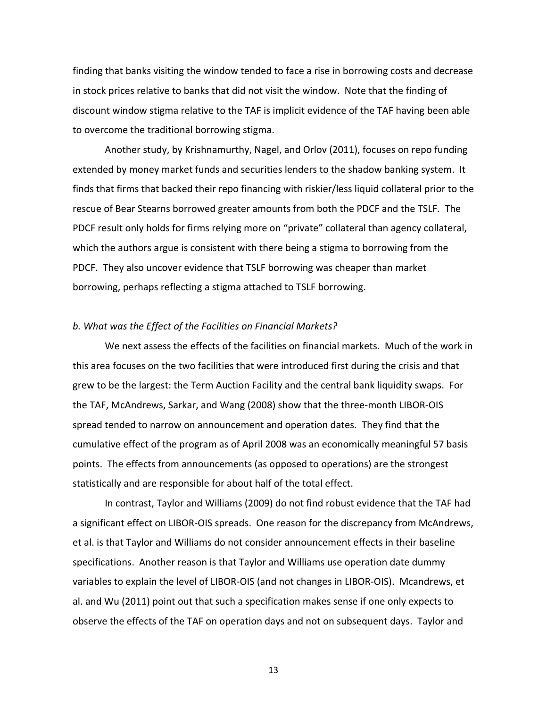finding that banks visiting the window tended to face a rise in borrowing costs and decrease in stock prices relative to banks that did not visit the window. Note that the finding of discount window stigma relative to the TAF is implicit evidence of the TAF having been able to overcome the traditional borrowing stigma.

Another study, by Krishnamurthy, Nagel, and Orlov (2011), focuses on repo funding extended by money market funds and securities lenders to the shadow banking system. It finds that firms that backed their repo financing with riskier/less liquid collateral prior to the rescue of Bear Stearns borrowed greater amounts from both the PDCF and the TSLF. The PDCF result only holds for firms relying more on "private" collateral than agency collateral, which the authors argue is consistent with there being a stigma to borrowing from the PDCF. They also uncover evidence that TSLF borrowing was cheaper than market borrowing, perhaps reflecting a stigma attached to TSLF borrowing.

#### *b. What was the Effect of the Facilities on Financial Markets?*

We next assess the effects of the facilities on financial markets. Much of the work in this area focuses on the two facilities that were introduced first during the crisis and that grew to be the largest: the Term Auction Facility and the central bank liquidity swaps. For the TAF, McAndrews, Sarkar, and Wang (2008) show that the three‐month LIBOR‐OIS spread tended to narrow on announcement and operation dates. They find that the cumulative effect of the program as of April 2008 was an economically meaningful 57 basis points. The effects from announcements (as opposed to operations) are the strongest statistically and are responsible for about half of the total effect.

In contrast, Taylor and Williams (2009) do not find robust evidence that the TAF had a significant effect on LIBOR‐OIS spreads. One reason for the discrepancy from McAndrews, et al. is that Taylor and Williams do not consider announcement effects in their baseline specifications. Another reason is that Taylor and Williams use operation date dummy variables to explain the level of LIBOR‐OIS (and not changes in LIBOR‐OIS). Mcandrews, et al. and Wu (2011) point out that such a specification makes sense if one only expects to observe the effects of the TAF on operation days and not on subsequent days. Taylor and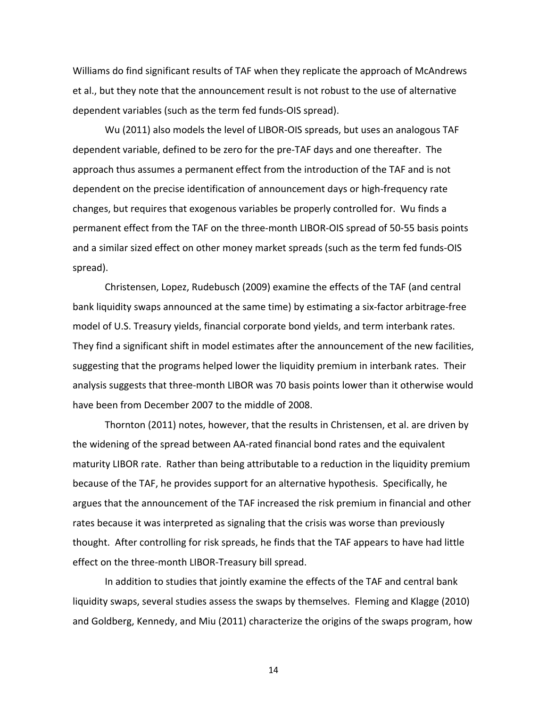Williams do find significant results of TAF when they replicate the approach of McAndrews et al., but they note that the announcement result is not robust to the use of alternative dependent variables (such as the term fed funds‐OIS spread).

Wu (2011) also models the level of LIBOR‐OIS spreads, but uses an analogous TAF dependent variable, defined to be zero for the pre‐TAF days and one thereafter. The approach thus assumes a permanent effect from the introduction of the TAF and is not dependent on the precise identification of announcement days or high‐frequency rate changes, but requires that exogenous variables be properly controlled for. Wu finds a permanent effect from the TAF on the three‐month LIBOR‐OIS spread of 50‐55 basis points and a similar sized effect on other money market spreads (such as the term fed funds‐OIS spread).

Christensen, Lopez, Rudebusch (2009) examine the effects of the TAF (and central bank liquidity swaps announced at the same time) by estimating a six‐factor arbitrage‐free model of U.S. Treasury yields, financial corporate bond yields, and term interbank rates. They find a significant shift in model estimates after the announcement of the new facilities, suggesting that the programs helped lower the liquidity premium in interbank rates. Their analysis suggests that three‐month LIBOR was 70 basis points lower than it otherwise would have been from December 2007 to the middle of 2008.

Thornton (2011) notes, however, that the results in Christensen, et al. are driven by the widening of the spread between AA‐rated financial bond rates and the equivalent maturity LIBOR rate. Rather than being attributable to a reduction in the liquidity premium because of the TAF, he provides support for an alternative hypothesis. Specifically, he argues that the announcement of the TAF increased the risk premium in financial and other rates because it was interpreted as signaling that the crisis was worse than previously thought. After controlling for risk spreads, he finds that the TAF appears to have had little effect on the three‐month LIBOR‐Treasury bill spread.

In addition to studies that jointly examine the effects of the TAF and central bank liquidity swaps, several studies assess the swaps by themselves. Fleming and Klagge (2010) and Goldberg, Kennedy, and Miu (2011) characterize the origins of the swaps program, how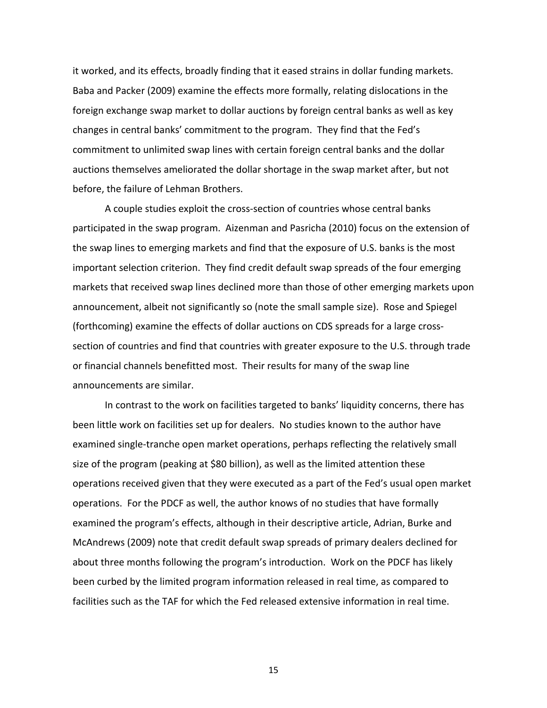it worked, and its effects, broadly finding that it eased strains in dollar funding markets. Baba and Packer (2009) examine the effects more formally, relating dislocations in the foreign exchange swap market to dollar auctions by foreign central banks as well as key changes in central banks' commitment to the program. They find that the Fed's commitment to unlimited swap lines with certain foreign central banks and the dollar auctions themselves ameliorated the dollar shortage in the swap market after, but not before, the failure of Lehman Brothers.

A couple studies exploit the cross‐section of countries whose central banks participated in the swap program. Aizenman and Pasricha (2010) focus on the extension of the swap lines to emerging markets and find that the exposure of U.S. banks is the most important selection criterion. They find credit default swap spreads of the four emerging markets that received swap lines declined more than those of other emerging markets upon announcement, albeit not significantly so (note the small sample size). Rose and Spiegel (forthcoming) examine the effects of dollar auctions on CDS spreads for a large cross‐ section of countries and find that countries with greater exposure to the U.S. through trade or financial channels benefitted most. Their results for many of the swap line announcements are similar.

In contrast to the work on facilities targeted to banks' liquidity concerns, there has been little work on facilities set up for dealers. No studies known to the author have examined single‐tranche open market operations, perhaps reflecting the relatively small size of the program (peaking at \$80 billion), as well as the limited attention these operations received given that they were executed as a part of the Fed's usual open market operations. For the PDCF as well, the author knows of no studies that have formally examined the program's effects, although in their descriptive article, Adrian, Burke and McAndrews (2009) note that credit default swap spreads of primary dealers declined for about three months following the program's introduction. Work on the PDCF has likely been curbed by the limited program information released in real time, as compared to facilities such as the TAF for which the Fed released extensive information in real time.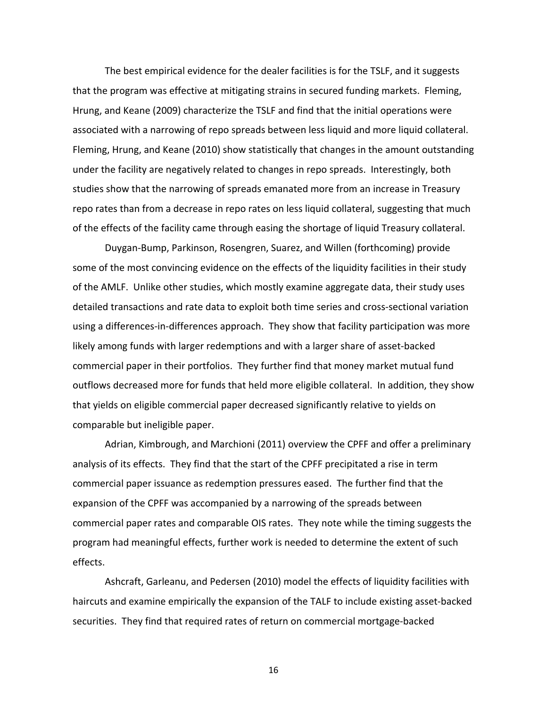The best empirical evidence for the dealer facilities is for the TSLF, and it suggests that the program was effective at mitigating strains in secured funding markets. Fleming, Hrung, and Keane (2009) characterize the TSLF and find that the initial operations were associated with a narrowing of repo spreads between less liquid and more liquid collateral. Fleming, Hrung, and Keane (2010) show statistically that changes in the amount outstanding under the facility are negatively related to changes in repo spreads. Interestingly, both studies show that the narrowing of spreads emanated more from an increase in Treasury repo rates than from a decrease in repo rates on less liquid collateral, suggesting that much of the effects of the facility came through easing the shortage of liquid Treasury collateral.

Duygan‐Bump, Parkinson, Rosengren, Suarez, and Willen (forthcoming) provide some of the most convincing evidence on the effects of the liquidity facilities in their study of the AMLF. Unlike other studies, which mostly examine aggregate data, their study uses detailed transactions and rate data to exploit both time series and cross‐sectional variation using a differences‐in‐differences approach. They show that facility participation was more likely among funds with larger redemptions and with a larger share of asset‐backed commercial paper in their portfolios. They further find that money market mutual fund outflows decreased more for funds that held more eligible collateral. In addition, they show that yields on eligible commercial paper decreased significantly relative to yields on comparable but ineligible paper.

Adrian, Kimbrough, and Marchioni (2011) overview the CPFF and offer a preliminary analysis of its effects. They find that the start of the CPFF precipitated a rise in term commercial paper issuance as redemption pressures eased. The further find that the expansion of the CPFF was accompanied by a narrowing of the spreads between commercial paper rates and comparable OIS rates. They note while the timing suggests the program had meaningful effects, further work is needed to determine the extent of such effects.

Ashcraft, Garleanu, and Pedersen (2010) model the effects of liquidity facilities with haircuts and examine empirically the expansion of the TALF to include existing asset‐backed securities. They find that required rates of return on commercial mortgage‐backed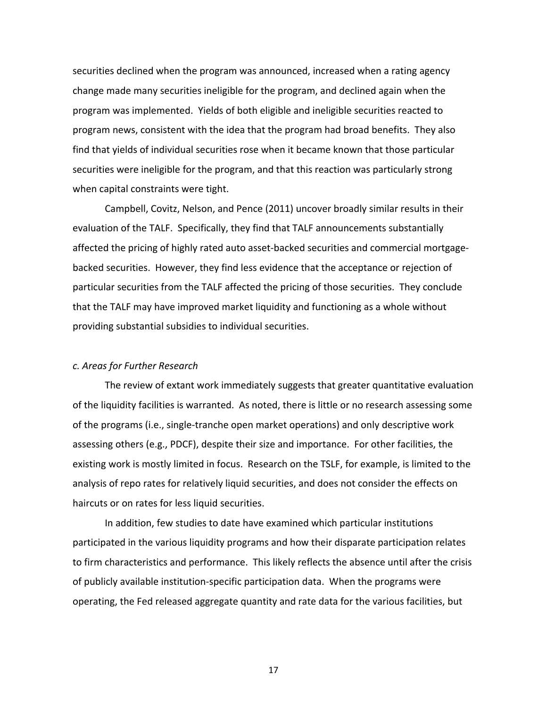securities declined when the program was announced, increased when a rating agency change made many securities ineligible for the program, and declined again when the program was implemented. Yields of both eligible and ineligible securities reacted to program news, consistent with the idea that the program had broad benefits. They also find that yields of individual securities rose when it became known that those particular securities were ineligible for the program, and that this reaction was particularly strong when capital constraints were tight.

Campbell, Covitz, Nelson, and Pence (2011) uncover broadly similar results in their evaluation of the TALF. Specifically, they find that TALF announcements substantially affected the pricing of highly rated auto asset‐backed securities and commercial mortgage‐ backed securities. However, they find less evidence that the acceptance or rejection of particular securities from the TALF affected the pricing of those securities. They conclude that the TALF may have improved market liquidity and functioning as a whole without providing substantial subsidies to individual securities.

#### *c. Areas for Further Research*

The review of extant work immediately suggests that greater quantitative evaluation of the liquidity facilities is warranted. As noted, there is little or no research assessing some of the programs (i.e., single‐tranche open market operations) and only descriptive work assessing others (e.g., PDCF), despite their size and importance. For other facilities, the existing work is mostly limited in focus. Research on the TSLF, for example, is limited to the analysis of repo rates for relatively liquid securities, and does not consider the effects on haircuts or on rates for less liquid securities.

In addition, few studies to date have examined which particular institutions participated in the various liquidity programs and how their disparate participation relates to firm characteristics and performance. This likely reflects the absence until after the crisis of publicly available institution‐specific participation data. When the programs were operating, the Fed released aggregate quantity and rate data for the various facilities, but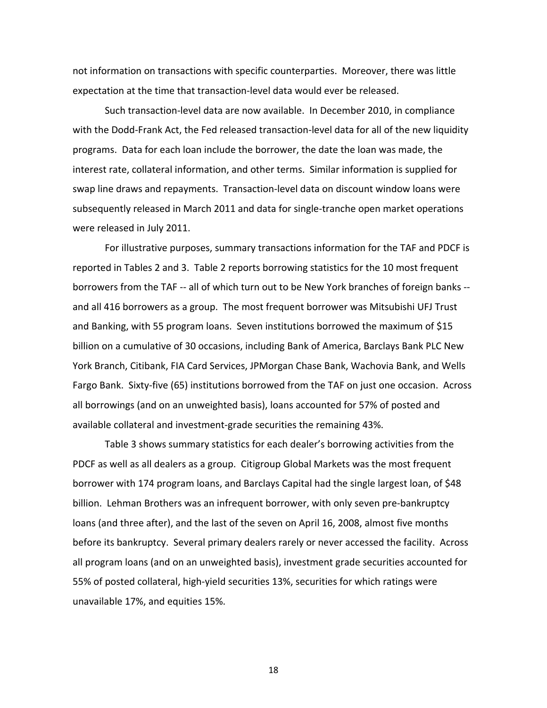not information on transactions with specific counterparties. Moreover, there was little expectation at the time that transaction‐level data would ever be released.

Such transaction‐level data are now available. In December 2010, in compliance with the Dodd-Frank Act, the Fed released transaction-level data for all of the new liquidity programs. Data for each loan include the borrower, the date the loan was made, the interest rate, collateral information, and other terms. Similar information is supplied for swap line draws and repayments. Transaction‐level data on discount window loans were subsequently released in March 2011 and data for single‐tranche open market operations were released in July 2011.

For illustrative purposes, summary transactions information for the TAF and PDCF is reported in Tables 2 and 3. Table 2 reports borrowing statistics for the 10 most frequent borrowers from the TAF ‐‐ all of which turn out to be New York branches of foreign banks ‐‐ and all 416 borrowers as a group. The most frequent borrower was Mitsubishi UFJ Trust and Banking, with 55 program loans. Seven institutions borrowed the maximum of \$15 billion on a cumulative of 30 occasions, including Bank of America, Barclays Bank PLC New York Branch, Citibank, FIA Card Services, JPMorgan Chase Bank, Wachovia Bank, and Wells Fargo Bank. Sixty-five (65) institutions borrowed from the TAF on just one occasion. Across all borrowings (and on an unweighted basis), loans accounted for 57% of posted and available collateral and investment‐grade securities the remaining 43%.

Table 3 shows summary statistics for each dealer's borrowing activities from the PDCF as well as all dealers as a group. Citigroup Global Markets was the most frequent borrower with 174 program loans, and Barclays Capital had the single largest loan, of \$48 billion. Lehman Brothers was an infrequent borrower, with only seven pre‐bankruptcy loans (and three after), and the last of the seven on April 16, 2008, almost five months before its bankruptcy. Several primary dealers rarely or never accessed the facility. Across all program loans (and on an unweighted basis), investment grade securities accounted for 55% of posted collateral, high-yield securities 13%, securities for which ratings were unavailable 17%, and equities 15%.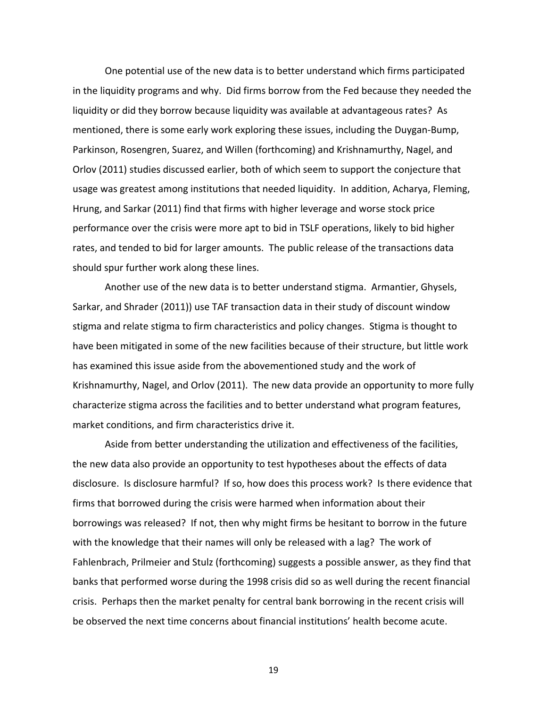One potential use of the new data is to better understand which firms participated in the liquidity programs and why. Did firms borrow from the Fed because they needed the liquidity or did they borrow because liquidity was available at advantageous rates? As mentioned, there is some early work exploring these issues, including the Duygan‐Bump, Parkinson, Rosengren, Suarez, and Willen (forthcoming) and Krishnamurthy, Nagel, and Orlov (2011) studies discussed earlier, both of which seem to support the conjecture that usage was greatest among institutions that needed liquidity. In addition, Acharya, Fleming, Hrung, and Sarkar (2011) find that firms with higher leverage and worse stock price performance over the crisis were more apt to bid in TSLF operations, likely to bid higher rates, and tended to bid for larger amounts. The public release of the transactions data should spur further work along these lines.

Another use of the new data is to better understand stigma. Armantier, Ghysels, Sarkar, and Shrader (2011)) use TAF transaction data in their study of discount window stigma and relate stigma to firm characteristics and policy changes. Stigma is thought to have been mitigated in some of the new facilities because of their structure, but little work has examined this issue aside from the abovementioned study and the work of Krishnamurthy, Nagel, and Orlov (2011). The new data provide an opportunity to more fully characterize stigma across the facilities and to better understand what program features, market conditions, and firm characteristics drive it.

Aside from better understanding the utilization and effectiveness of the facilities, the new data also provide an opportunity to test hypotheses about the effects of data disclosure. Is disclosure harmful? If so, how does this process work? Is there evidence that firms that borrowed during the crisis were harmed when information about their borrowings was released? If not, then why might firms be hesitant to borrow in the future with the knowledge that their names will only be released with a lag? The work of Fahlenbrach, Prilmeier and Stulz (forthcoming) suggests a possible answer, as they find that banks that performed worse during the 1998 crisis did so as well during the recent financial crisis. Perhaps then the market penalty for central bank borrowing in the recent crisis will be observed the next time concerns about financial institutions' health become acute.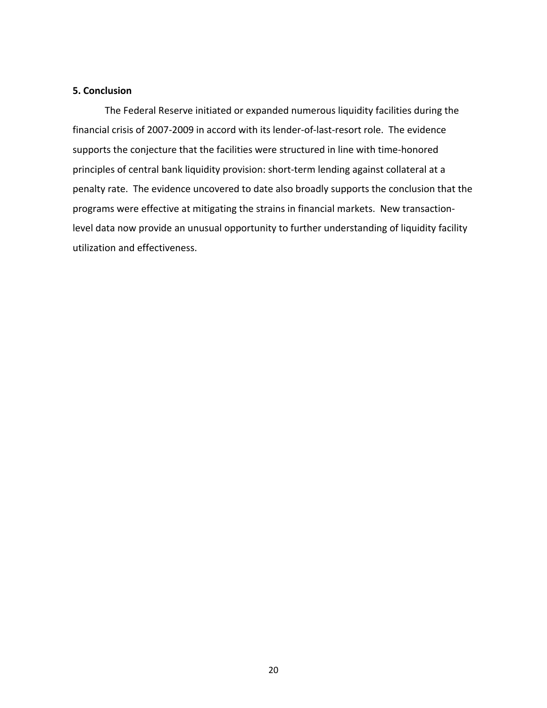# **5. Conclusion**

The Federal Reserve initiated or expanded numerous liquidity facilities during the financial crisis of 2007‐2009 in accord with its lender‐of‐last‐resort role. The evidence supports the conjecture that the facilities were structured in line with time-honored principles of central bank liquidity provision: short-term lending against collateral at a penalty rate. The evidence uncovered to date also broadly supports the conclusion that the programs were effective at mitigating the strains in financial markets. New transaction‐ level data now provide an unusual opportunity to further understanding of liquidity facility utilization and effectiveness.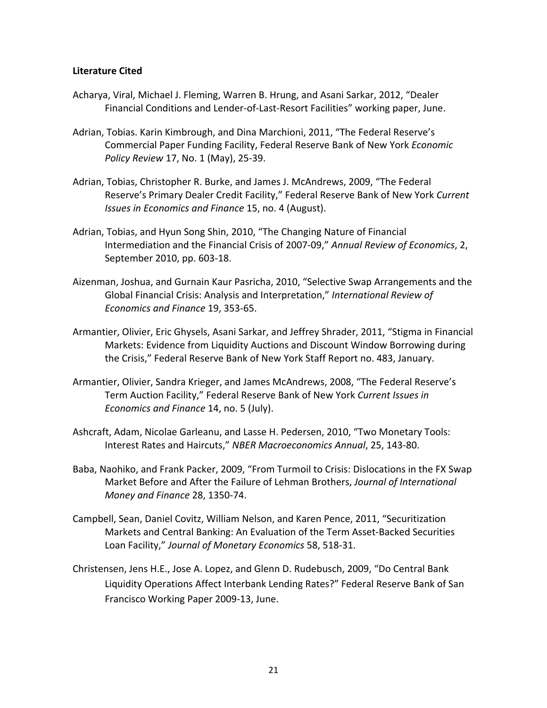# **Literature Cited**

- Acharya, Viral, Michael J. Fleming, Warren B. Hrung, and Asani Sarkar, 2012, "Dealer Financial Conditions and Lender‐of‐Last‐Resort Facilities" working paper, June.
- Adrian, Tobias. Karin Kimbrough, and Dina Marchioni, 2011, "The Federal Reserve's Commercial Paper Funding Facility, Federal Reserve Bank of New York *Economic Policy Review* 17, No. 1 (May), 25‐39.
- Adrian, Tobias, Christopher R. Burke, and James J. McAndrews, 2009, "The Federal Reserve's Primary Dealer Credit Facility," Federal Reserve Bank of New York *Current Issues in Economics and Finance* 15, no. 4 (August).
- Adrian, Tobias, and Hyun Song Shin, 2010, "The Changing Nature of Financial Intermediation and the Financial Crisis of 2007‐09," *Annual Review of Economics*, 2, September 2010, pp. 603‐18.
- Aizenman, Joshua, and Gurnain Kaur Pasricha, 2010, "Selective Swap Arrangements and the Global Financial Crisis: Analysis and Interpretation," *International Review of Economics and Finance* 19, 353‐65.
- Armantier, Olivier, Eric Ghysels, Asani Sarkar, and Jeffrey Shrader, 2011, "Stigma in Financial Markets: Evidence from Liquidity Auctions and Discount Window Borrowing during the Crisis," Federal Reserve Bank of New York Staff Report no. 483, January.
- Armantier, Olivier, Sandra Krieger, and James McAndrews, 2008, "The Federal Reserve's Term Auction Facility," Federal Reserve Bank of New York *Current Issues in Economics and Finance* 14, no. 5 (July).
- Ashcraft, Adam, Nicolae Garleanu, and Lasse H. Pedersen, 2010, "Two Monetary Tools: Interest Rates and Haircuts," *NBER Macroeconomics Annual*, 25, 143‐80.
- Baba, Naohiko, and Frank Packer, 2009, "From Turmoil to Crisis: Dislocations in the FX Swap Market Before and After the Failure of Lehman Brothers, *Journal of International Money and Finance* 28, 1350‐74.
- Campbell, Sean, Daniel Covitz, William Nelson, and Karen Pence, 2011, "Securitization Markets and Central Banking: An Evaluation of the Term Asset‐Backed Securities Loan Facility," *Journal of Monetary Economics* 58, 518‐31.
- Christensen, Jens H.E., Jose A. Lopez, and Glenn D. Rudebusch, 2009, "Do Central Bank Liquidity Operations Affect Interbank Lending Rates?" Federal Reserve Bank of San Francisco Working Paper 2009‐13, June.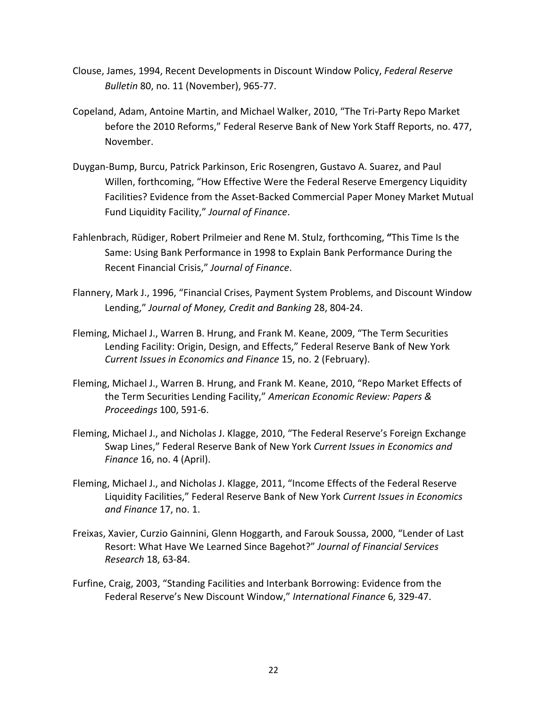- Clouse, James, 1994, Recent Developments in Discount Window Policy, *Federal Reserve Bulletin* 80, no. 11 (November), 965‐77.
- Copeland, Adam, Antoine Martin, and Michael Walker, 2010, "The Tri‐Party Repo Market before the 2010 Reforms," Federal Reserve Bank of New York Staff Reports, no. 477, November.
- Duygan‐Bump, Burcu, Patrick Parkinson, Eric Rosengren, Gustavo A. Suarez, and Paul Willen, forthcoming, "How Effective Were the Federal Reserve Emergency Liquidity Facilities? Evidence from the Asset‐Backed Commercial Paper Money Market Mutual Fund Liquidity Facility," *Journal of Finance*.
- Fahlenbrach, Rüdiger, Robert Prilmeier and Rene M. Stulz, forthcoming, **"**This Time Is the Same: Using Bank Performance in 1998 to Explain Bank Performance During the Recent Financial Crisis," *Journal of Finance*.
- Flannery, Mark J., 1996, "Financial Crises, Payment System Problems, and Discount Window Lending," *Journal of Money, Credit and Banking* 28, 804‐24.
- Fleming, Michael J., Warren B. Hrung, and Frank M. Keane, 2009, "The Term Securities Lending Facility: Origin, Design, and Effects," Federal Reserve Bank of New York *Current Issues in Economics and Finance* 15, no. 2 (February).
- Fleming, Michael J., Warren B. Hrung, and Frank M. Keane, 2010, "Repo Market Effects of the Term Securities Lending Facility," *American Economic Review: Papers & Proceedings* 100, 591‐6.
- Fleming, Michael J., and Nicholas J. Klagge, 2010, "The Federal Reserve's Foreign Exchange Swap Lines," Federal Reserve Bank of New York *Current Issues in Economics and Finance* 16, no. 4 (April).
- Fleming, Michael J., and Nicholas J. Klagge, 2011, "Income Effects of the Federal Reserve Liquidity Facilities," Federal Reserve Bank of New York *Current Issues in Economics and Finance* 17, no. 1.
- Freixas, Xavier, Curzio Gainnini, Glenn Hoggarth, and Farouk Soussa, 2000, "Lender of Last Resort: What Have We Learned Since Bagehot?" *Journal of Financial Services Research* 18, 63‐84.
- Furfine, Craig, 2003, "Standing Facilities and Interbank Borrowing: Evidence from the Federal Reserve's New Discount Window," *International Finance* 6, 329‐47.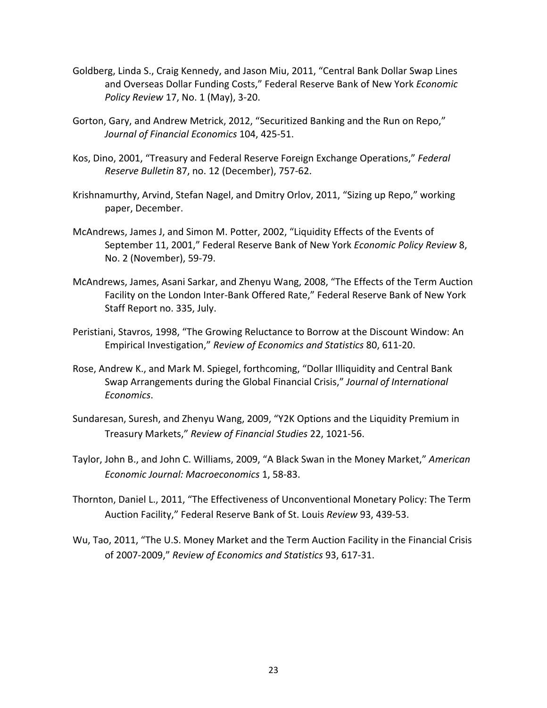- Goldberg, Linda S., Craig Kennedy, and Jason Miu, 2011, "Central Bank Dollar Swap Lines and Overseas Dollar Funding Costs," Federal Reserve Bank of New York *Economic Policy Review* 17, No. 1 (May), 3‐20.
- Gorton, Gary, and Andrew Metrick, 2012, "Securitized Banking and the Run on Repo," *Journal of Financial Economics* 104, 425‐51.
- Kos, Dino, 2001, "Treasury and Federal Reserve Foreign Exchange Operations," *Federal Reserve Bulletin* 87, no. 12 (December), 757‐62.
- Krishnamurthy, Arvind, Stefan Nagel, and Dmitry Orlov, 2011, "Sizing up Repo," working paper, December.
- McAndrews, James J, and Simon M. Potter, 2002, "Liquidity Effects of the Events of September 11, 2001," Federal Reserve Bank of New York *Economic Policy Review* 8, No. 2 (November), 59‐79.
- McAndrews, James, Asani Sarkar, and Zhenyu Wang, 2008, "The Effects of the Term Auction Facility on the London Inter‐Bank Offered Rate," Federal Reserve Bank of New York Staff Report no. 335, July.
- Peristiani, Stavros, 1998, "The Growing Reluctance to Borrow at the Discount Window: An Empirical Investigation," *Review of Economics and Statistics* 80, 611‐20.
- Rose, Andrew K., and Mark M. Spiegel, forthcoming, "Dollar Illiquidity and Central Bank Swap Arrangements during the Global Financial Crisis," *Journal of International Economics*.
- Sundaresan, Suresh, and Zhenyu Wang, 2009, "Y2K Options and the Liquidity Premium in Treasury Markets," *Review of Financial Studies* 22, 1021‐56.
- Taylor, John B., and John C. Williams, 2009, "A Black Swan in the Money Market," *American Economic Journal: Macroeconomics* 1, 58‐83.
- Thornton, Daniel L., 2011, "The Effectiveness of Unconventional Monetary Policy: The Term Auction Facility," Federal Reserve Bank of St. Louis *Review* 93, 439‐53.
- Wu, Tao, 2011, "The U.S. Money Market and the Term Auction Facility in the Financial Crisis of 2007‐2009," *Review of Economics and Statistics* 93, 617‐31.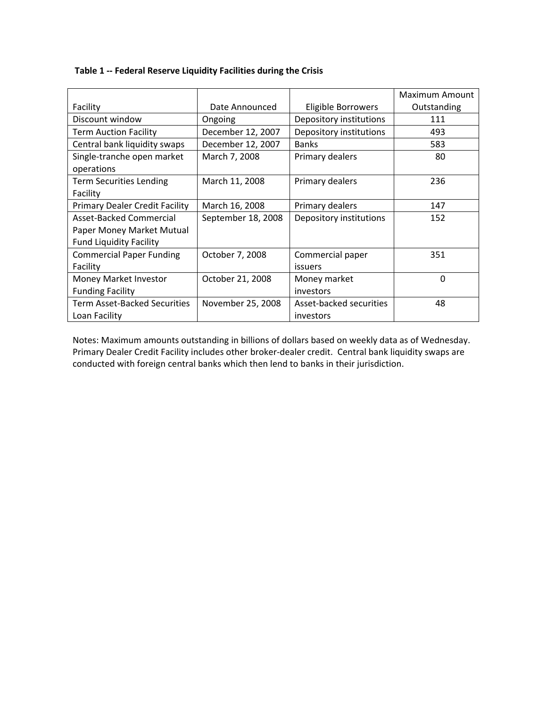| Table 1 -- Federal Reserve Liquidity Facilities during the Crisis |  |  |  |  |
|-------------------------------------------------------------------|--|--|--|--|
|                                                                   |  |  |  |  |

|                                       |                    |                         | Maximum Amount |
|---------------------------------------|--------------------|-------------------------|----------------|
| Facility                              | Date Announced     | Eligible Borrowers      | Outstanding    |
| Discount window                       | Ongoing            | Depository institutions | 111            |
| <b>Term Auction Facility</b>          | December 12, 2007  | Depository institutions | 493            |
| Central bank liquidity swaps          | December 12, 2007  | <b>Banks</b>            | 583            |
| Single-tranche open market            | March 7, 2008      | Primary dealers         | 80             |
| operations                            |                    |                         |                |
| <b>Term Securities Lending</b>        | March 11, 2008     | Primary dealers         | 236            |
| Facility                              |                    |                         |                |
| <b>Primary Dealer Credit Facility</b> | March 16, 2008     | Primary dealers         | 147            |
| Asset-Backed Commercial               | September 18, 2008 | Depository institutions | 152            |
| Paper Money Market Mutual             |                    |                         |                |
| <b>Fund Liquidity Facility</b>        |                    |                         |                |
| <b>Commercial Paper Funding</b>       | October 7, 2008    | Commercial paper        | 351            |
| Facility                              |                    | <i>issuers</i>          |                |
| Money Market Investor                 | October 21, 2008   | Money market            | 0              |
| <b>Funding Facility</b>               |                    | investors               |                |
| Term Asset-Backed Securities          | November 25, 2008  | Asset-backed securities | 48             |
| Loan Facility                         |                    | investors               |                |

Notes: Maximum amounts outstanding in billions of dollars based on weekly data as of Wednesday. Primary Dealer Credit Facility includes other broker‐dealer credit. Central bank liquidity swaps are conducted with foreign central banks which then lend to banks in their jurisdiction.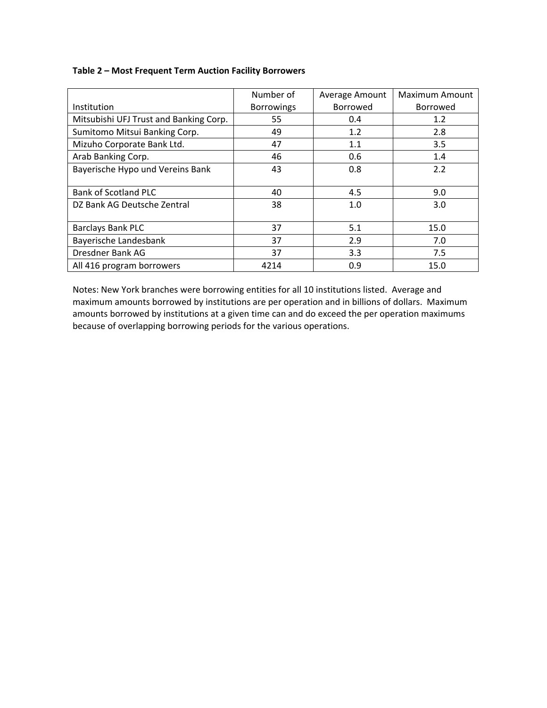|                                        | Number of         | Average Amount  | Maximum Amount  |
|----------------------------------------|-------------------|-----------------|-----------------|
| Institution                            | <b>Borrowings</b> | <b>Borrowed</b> | <b>Borrowed</b> |
| Mitsubishi UFJ Trust and Banking Corp. | 55                | 0.4             | 1.2             |
| Sumitomo Mitsui Banking Corp.          | 49                | 1.2             | 2.8             |
| Mizuho Corporate Bank Ltd.             | 47                | 1.1             | 3.5             |
| Arab Banking Corp.                     | 46                | 0.6             | 1.4             |
| Bayerische Hypo und Vereins Bank       | 43                | 0.8             | 2.2             |
|                                        |                   |                 |                 |
| <b>Bank of Scotland PLC</b>            | 40                | 4.5             | 9.0             |
| DZ Bank AG Deutsche Zentral            | 38                | 1.0             | 3.0             |
|                                        |                   |                 |                 |
| Barclays Bank PLC                      | 37                | 5.1             | 15.0            |
| Bayerische Landesbank                  | 37                | 2.9             | 7.0             |
| Dresdner Bank AG                       | 37                | 3.3             | 7.5             |
| All 416 program borrowers              | 4214              | 0.9             | 15.0            |

### **Table 2 – Most Frequent Term Auction Facility Borrowers**

Notes: New York branches were borrowing entities for all 10 institutions listed. Average and maximum amounts borrowed by institutions are per operation and in billions of dollars. Maximum amounts borrowed by institutions at a given time can and do exceed the per operation maximums because of overlapping borrowing periods for the various operations.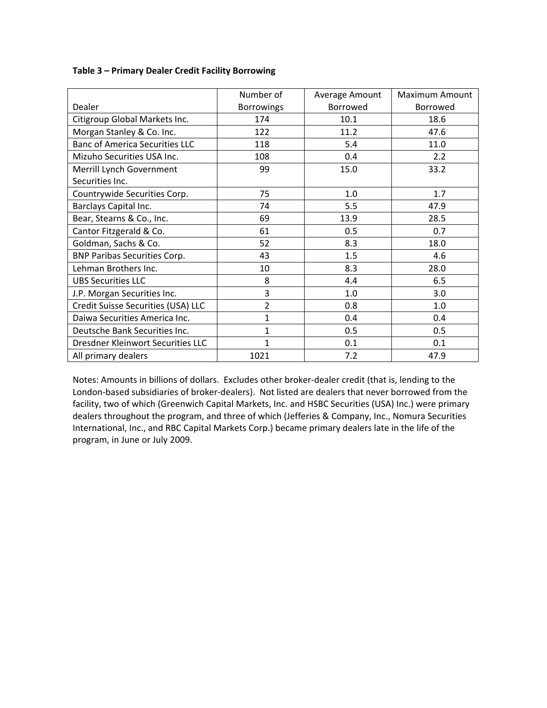### **Table 3 – Primary Dealer Credit Facility Borrowing**

|                                       | Number of         | Average Amount | <b>Maximum Amount</b> |
|---------------------------------------|-------------------|----------------|-----------------------|
| Dealer                                | <b>Borrowings</b> | Borrowed       | <b>Borrowed</b>       |
| Citigroup Global Markets Inc.         | 174               | 10.1           | 18.6                  |
| Morgan Stanley & Co. Inc.             | 122               | 11.2           | 47.6                  |
| <b>Banc of America Securities LLC</b> | 118               | 5.4            | 11.0                  |
| Mizuho Securities USA Inc.            | 108               | 0.4            | 2.2                   |
| Merrill Lynch Government              | 99                | 15.0           | 33.2                  |
| Securities Inc.                       |                   |                |                       |
| Countrywide Securities Corp.          | 75                | 1.0            | 1.7                   |
| Barclays Capital Inc.                 | 74                | 5.5            | 47.9                  |
| Bear, Stearns & Co., Inc.             | 69                | 13.9           | 28.5                  |
| Cantor Fitzgerald & Co.               | 61                | 0.5            | 0.7                   |
| Goldman, Sachs & Co.                  | 52                | 8.3            | 18.0                  |
| <b>BNP Paribas Securities Corp.</b>   | 43                | 1.5            | 4.6                   |
| Lehman Brothers Inc.                  | 10                | 8.3            | 28.0                  |
| <b>UBS Securities LLC</b>             | 8                 | 4.4            | 6.5                   |
| J.P. Morgan Securities Inc.           | 3                 | 1.0            | 3.0                   |
| Credit Suisse Securities (USA) LLC    | $\overline{2}$    | 0.8            | 1.0                   |
| Daiwa Securities America Inc.         | 1                 | 0.4            | 0.4                   |
| Deutsche Bank Securities Inc.         | $\overline{1}$    | 0.5            | 0.5                   |
| Dresdner Kleinwort Securities LLC     | 1                 | 0.1            | 0.1                   |
| All primary dealers                   | 1021              | 7.2            | 47.9                  |

Notes: Amounts in billions of dollars. Excludes other broker‐dealer credit (that is, lending to the London‐based subsidiaries of broker‐dealers). Not listed are dealers that never borrowed from the facility, two of which (Greenwich Capital Markets, Inc. and HSBC Securities (USA) Inc.) were primary dealers throughout the program, and three of which (Jefferies & Company, Inc., Nomura Securities International, Inc., and RBC Capital Markets Corp.) became primary dealers late in the life of the program, in June or July 2009.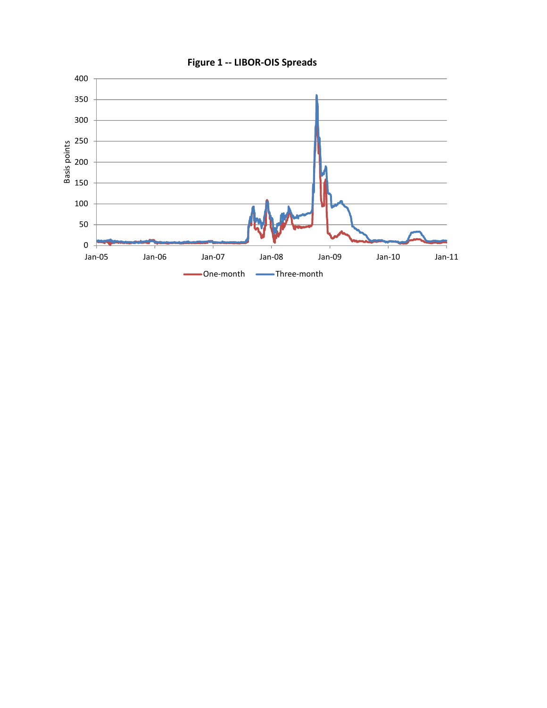

**Figure 1 ‐‐ LIBOR‐OIS Spreads**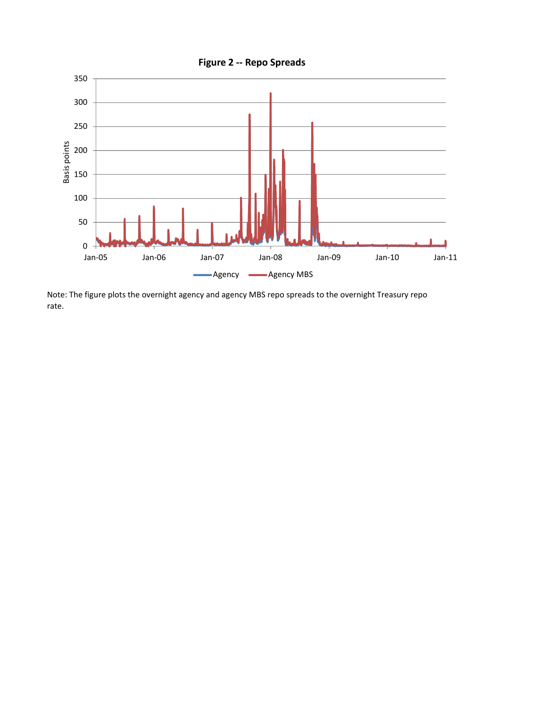

Note: The figure plots the overnight agency and agency MBS repo spreads to the overnight Treasury repo rate.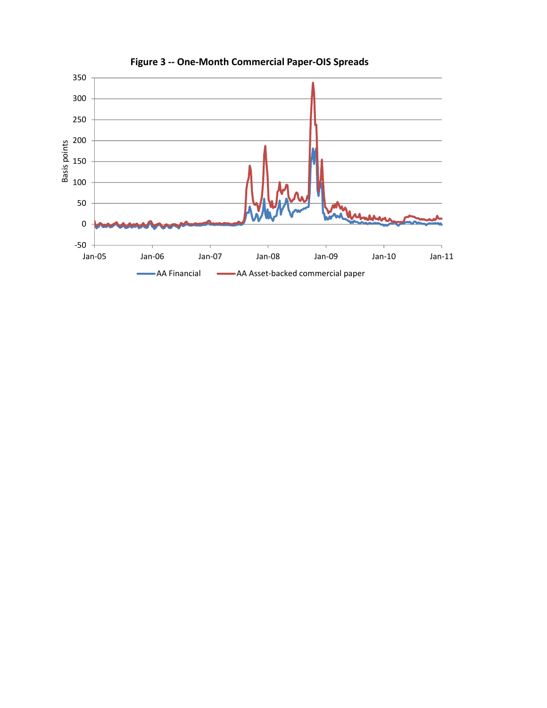

**Figure 3 ‐‐ One‐Month Commercial Paper‐OIS Spreads**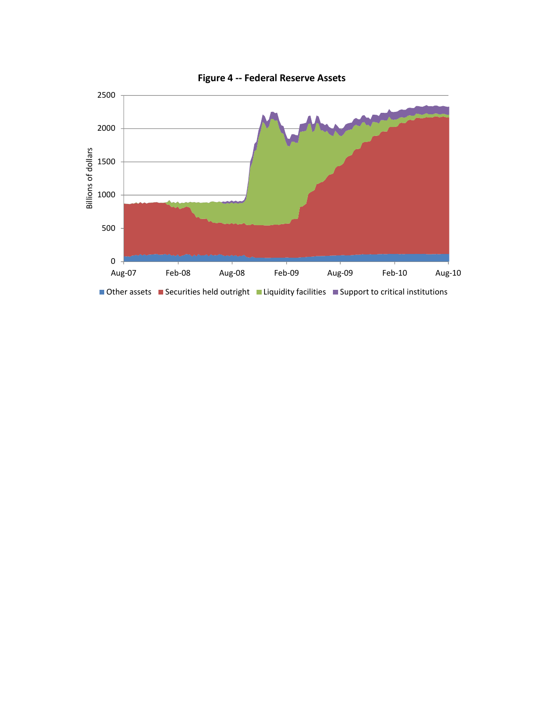

**Figure 4 ‐‐ Federal Reserve Assets**